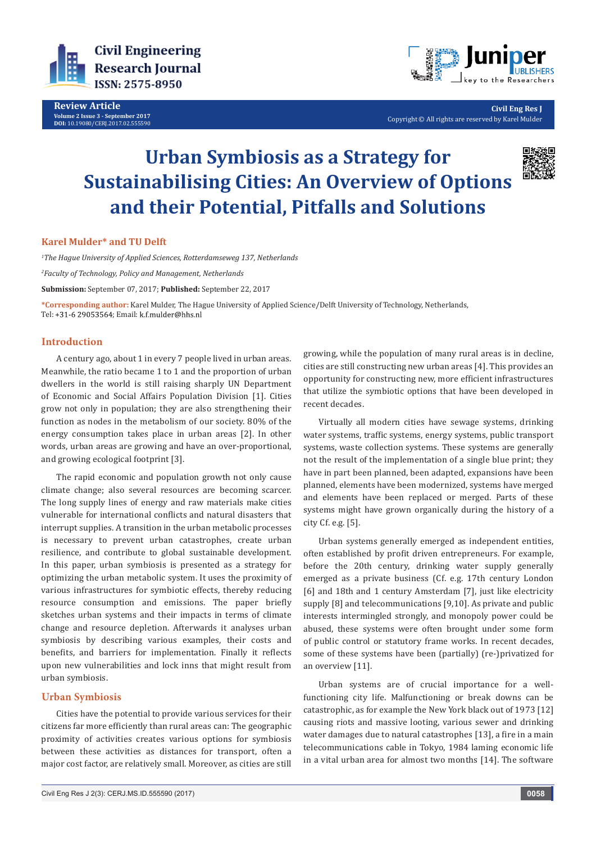

**Review Article Volume 2 Issue 3 - September 2017 DOI:** [10.19080/CERJ.2017.02.555590](http://dx.doi.org/10.19080/CERJ.2017.02.555590
)



**Civil Eng Res J** Copyright © All rights are reserved by Karel Mulder

# **Urban Symbiosis as a Strategy for Sustainabilising Cities: An Overview of Options and their Potential, Pitfalls and Solutions**



## **Karel Mulder\* and TU Delft**

*1 The Hague University of Applied Sciences, Rotterdamseweg 137, Netherlands*

*2 Faculty of Technology, Policy and Management, Netherlands*

**Submission:** September 07, 2017; **Published:** September 22, 2017

**\*Corresponding author:** Karel Mulder, The Hague University of Applied Science/Delft University of Technology, Netherlands, Tel: +31-6 29053564; Email: k.f.mulder@hhs.nl

## **Introduction**

A century ago, about 1 in every 7 people lived in urban areas. Meanwhile, the ratio became 1 to 1 and the proportion of urban dwellers in the world is still raising sharply UN Department of Economic and Social Affairs Population Division [1]. Cities grow not only in population; they are also strengthening their function as nodes in the metabolism of our society. 80% of the energy consumption takes place in urban areas [2]. In other words, urban areas are growing and have an over-proportional, and growing ecological footprint [3].

The rapid economic and population growth not only cause climate change; also several resources are becoming scarcer. The long supply lines of energy and raw materials make cities vulnerable for international conflicts and natural disasters that interrupt supplies. A transition in the urban metabolic processes is necessary to prevent urban catastrophes, create urban resilience, and contribute to global sustainable development. In this paper, urban symbiosis is presented as a strategy for optimizing the urban metabolic system. It uses the proximity of various infrastructures for symbiotic effects, thereby reducing resource consumption and emissions. The paper briefly sketches urban systems and their impacts in terms of climate change and resource depletion. Afterwards it analyses urban symbiosis by describing various examples, their costs and benefits, and barriers for implementation. Finally it reflects upon new vulnerabilities and lock inns that might result from urban symbiosis.

# **Urban Symbiosis**

Cities have the potential to provide various services for their citizens far more efficiently than rural areas can: The geographic proximity of activities creates various options for symbiosis between these activities as distances for transport, often a major cost factor, are relatively small. Moreover, as cities are still

growing, while the population of many rural areas is in decline, cities are still constructing new urban areas [4]. This provides an opportunity for constructing new, more efficient infrastructures that utilize the symbiotic options that have been developed in recent decades.

Virtually all modern cities have sewage systems, drinking water systems, traffic systems, energy systems, public transport systems, waste collection systems. These systems are generally not the result of the implementation of a single blue print; they have in part been planned, been adapted, expansions have been planned, elements have been modernized, systems have merged and elements have been replaced or merged. Parts of these systems might have grown organically during the history of a city Cf. e.g. [5].

Urban systems generally emerged as independent entities, often established by profit driven entrepreneurs. For example, before the 20th century, drinking water supply generally emerged as a private business (Cf. e.g. 17th century London [6] and 18th and 1 century Amsterdam [7], just like electricity supply [8] and telecommunications [9,10]. As private and public interests intermingled strongly, and monopoly power could be abused, these systems were often brought under some form of public control or statutory frame works. In recent decades, some of these systems have been (partially) (re-)privatized for an overview [11].

Urban systems are of crucial importance for a wellfunctioning city life. Malfunctioning or break downs can be catastrophic, as for example the New York black out of 1973 [12] causing riots and massive looting, various sewer and drinking water damages due to natural catastrophes [13], a fire in a main telecommunications cable in Tokyo, 1984 laming economic life in a vital urban area for almost two months [14]. The software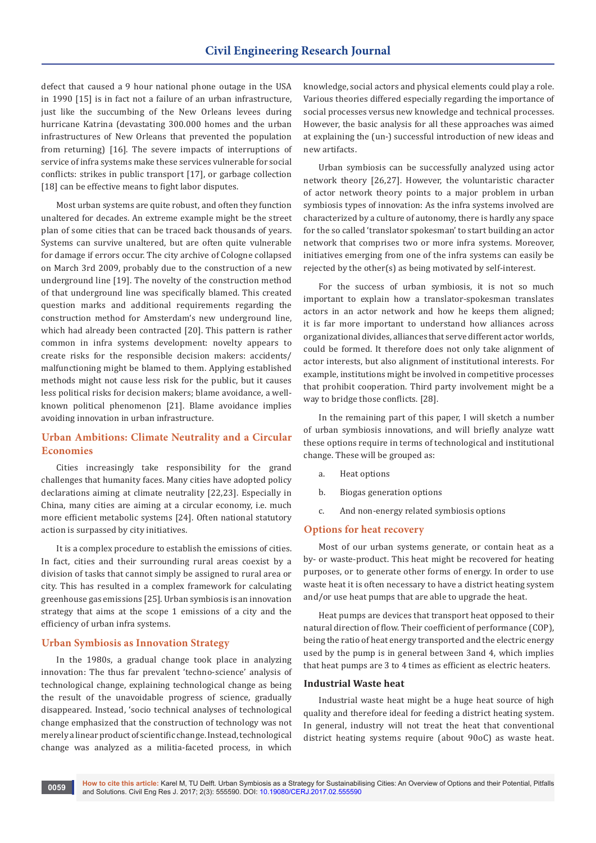defect that caused a 9 hour national phone outage in the USA in 1990 [15] is in fact not a failure of an urban infrastructure, just like the succumbing of the New Orleans levees during hurricane Katrina (devastating 300.000 homes and the urban infrastructures of New Orleans that prevented the population from returning) [16]. The severe impacts of interruptions of service of infra systems make these services vulnerable for social conflicts: strikes in public transport [17], or garbage collection [18] can be effective means to fight labor disputes.

Most urban systems are quite robust, and often they function unaltered for decades. An extreme example might be the street plan of some cities that can be traced back thousands of years. Systems can survive unaltered, but are often quite vulnerable for damage if errors occur. The city archive of Cologne collapsed on March 3rd 2009, probably due to the construction of a new underground line [19]. The novelty of the construction method of that underground line was specifically blamed. This created question marks and additional requirements regarding the construction method for Amsterdam's new underground line, which had already been contracted [20]. This pattern is rather common in infra systems development: novelty appears to create risks for the responsible decision makers: accidents/ malfunctioning might be blamed to them. Applying established methods might not cause less risk for the public, but it causes less political risks for decision makers; blame avoidance, a wellknown political phenomenon [21]. Blame avoidance implies avoiding innovation in urban infrastructure.

# **Urban Ambitions: Climate Neutrality and a Circular Economies**

Cities increasingly take responsibility for the grand challenges that humanity faces. Many cities have adopted policy declarations aiming at climate neutrality [22,23]. Especially in China, many cities are aiming at a circular economy, i.e. much more efficient metabolic systems [24]. Often national statutory action is surpassed by city initiatives.

It is a complex procedure to establish the emissions of cities. In fact, cities and their surrounding rural areas coexist by a division of tasks that cannot simply be assigned to rural area or city. This has resulted in a complex framework for calculating greenhouse gas emissions [25]. Urban symbiosis is an innovation strategy that aims at the scope 1 emissions of a city and the efficiency of urban infra systems.

### **Urban Symbiosis as Innovation Strategy**

In the 1980s, a gradual change took place in analyzing innovation: The thus far prevalent 'techno-science' analysis of technological change, explaining technological change as being the result of the unavoidable progress of science, gradually disappeared. Instead, 'socio technical analyses of technological change emphasized that the construction of technology was not merely a linear product of scientific change. Instead, technological change was analyzed as a militia-faceted process, in which

knowledge, social actors and physical elements could play a role. Various theories differed especially regarding the importance of social processes versus new knowledge and technical processes. However, the basic analysis for all these approaches was aimed at explaining the (un-) successful introduction of new ideas and new artifacts.

Urban symbiosis can be successfully analyzed using actor network theory [26,27]. However, the voluntaristic character of actor network theory points to a major problem in urban symbiosis types of innovation: As the infra systems involved are characterized by a culture of autonomy, there is hardly any space for the so called 'translator spokesman' to start building an actor network that comprises two or more infra systems. Moreover, initiatives emerging from one of the infra systems can easily be rejected by the other(s) as being motivated by self-interest.

For the success of urban symbiosis, it is not so much important to explain how a translator-spokesman translates actors in an actor network and how he keeps them aligned; it is far more important to understand how alliances across organizational divides, alliances that serve different actor worlds, could be formed. It therefore does not only take alignment of actor interests, but also alignment of institutional interests. For example, institutions might be involved in competitive processes that prohibit cooperation. Third party involvement might be a way to bridge those conflicts. [28].

In the remaining part of this paper, I will sketch a number of urban symbiosis innovations, and will briefly analyze watt these options require in terms of technological and institutional change. These will be grouped as:

- a. Heat options
- b. Biogas generation options
- c. And non-energy related symbiosis options

## **Options for heat recovery**

Most of our urban systems generate, or contain heat as a by- or waste-product. This heat might be recovered for heating purposes, or to generate other forms of energy. In order to use waste heat it is often necessary to have a district heating system and/or use heat pumps that are able to upgrade the heat.

Heat pumps are devices that transport heat opposed to their natural direction of flow. Their coefficient of performance (COP), being the ratio of heat energy transported and the electric energy used by the pump is in general between 3and 4, which implies that heat pumps are 3 to 4 times as efficient as electric heaters.

## **Industrial Waste heat**

Industrial waste heat might be a huge heat source of high quality and therefore ideal for feeding a district heating system. In general, industry will not treat the heat that conventional district heating systems require (about 90oC) as waste heat.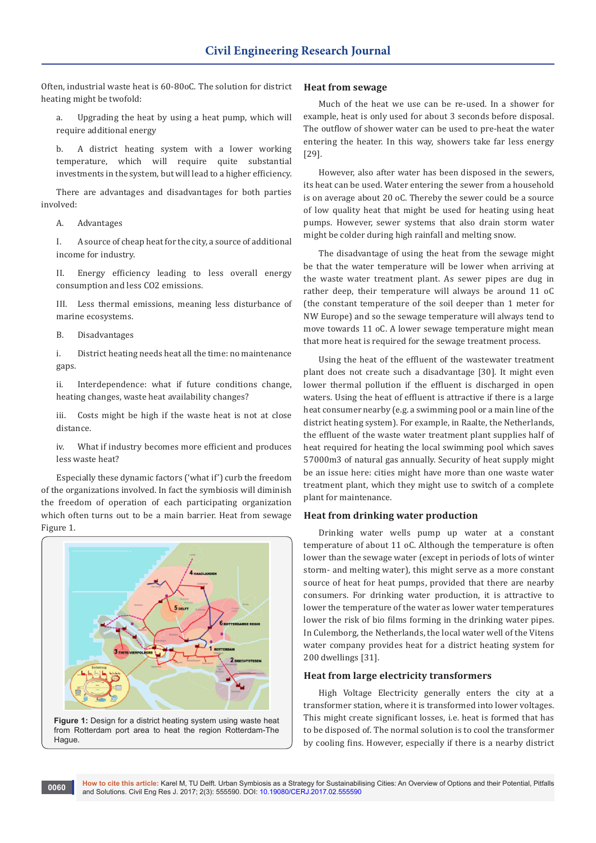Often, industrial waste heat is 60-80oC. The solution for district heating might be twofold:

a. Upgrading the heat by using a heat pump, which will require additional energy

b. A district heating system with a lower working temperature, which will require quite substantial investments in the system, but will lead to a higher efficiency.

There are advantages and disadvantages for both parties involved:

A. Advantages

I. A source of cheap heat for the city, a source of additional income for industry.

II. Energy efficiency leading to less overall energy consumption and less CO2 emissions.

III. Less thermal emissions, meaning less disturbance of marine ecosystems.

B. Disadvantages

i. District heating needs heat all the time: no maintenance gaps.

ii. Interdependence: what if future conditions change, heating changes, waste heat availability changes?

iii. Costs might be high if the waste heat is not at close distance.

iv. What if industry becomes more efficient and produces less waste heat?

Especially these dynamic factors ('what if') curb the freedom of the organizations involved. In fact the symbiosis will diminish the freedom of operation of each participating organization which often turns out to be a main barrier. Heat from sewage Figure 1.





## **Heat from sewage**

Much of the heat we use can be re-used. In a shower for example, heat is only used for about 3 seconds before disposal. The outflow of shower water can be used to pre-heat the water entering the heater. In this way, showers take far less energy [29].

However, also after water has been disposed in the sewers, its heat can be used. Water entering the sewer from a household is on average about 20 oC. Thereby the sewer could be a source of low quality heat that might be used for heating using heat pumps. However, sewer systems that also drain storm water might be colder during high rainfall and melting snow.

The disadvantage of using the heat from the sewage might be that the water temperature will be lower when arriving at the waste water treatment plant. As sewer pipes are dug in rather deep, their temperature will always be around 11 oC (the constant temperature of the soil deeper than 1 meter for NW Europe) and so the sewage temperature will always tend to move towards 11 oC. A lower sewage temperature might mean that more heat is required for the sewage treatment process.

Using the heat of the effluent of the wastewater treatment plant does not create such a disadvantage [30]. It might even lower thermal pollution if the effluent is discharged in open waters. Using the heat of effluent is attractive if there is a large heat consumer nearby (e.g. a swimming pool or a main line of the district heating system). For example, in Raalte, the Netherlands, the effluent of the waste water treatment plant supplies half of heat required for heating the local swimming pool which saves 57000m3 of natural gas annually. Security of heat supply might be an issue here: cities might have more than one waste water treatment plant, which they might use to switch of a complete plant for maintenance.

### **Heat from drinking water production**

Drinking water wells pump up water at a constant temperature of about 11 oC. Although the temperature is often lower than the sewage water (except in periods of lots of winter storm- and melting water), this might serve as a more constant source of heat for heat pumps, provided that there are nearby consumers. For drinking water production, it is attractive to lower the temperature of the water as lower water temperatures lower the risk of bio films forming in the drinking water pipes. In Culemborg, the Netherlands, the local water well of the Vitens water company provides heat for a district heating system for 200 dwellings [31].

#### **Heat from large electricity transformers**

High Voltage Electricity generally enters the city at a transformer station, where it is transformed into lower voltages. This might create significant losses, i.e. heat is formed that has to be disposed of. The normal solution is to cool the transformer by cooling fins. However, especially if there is a nearby district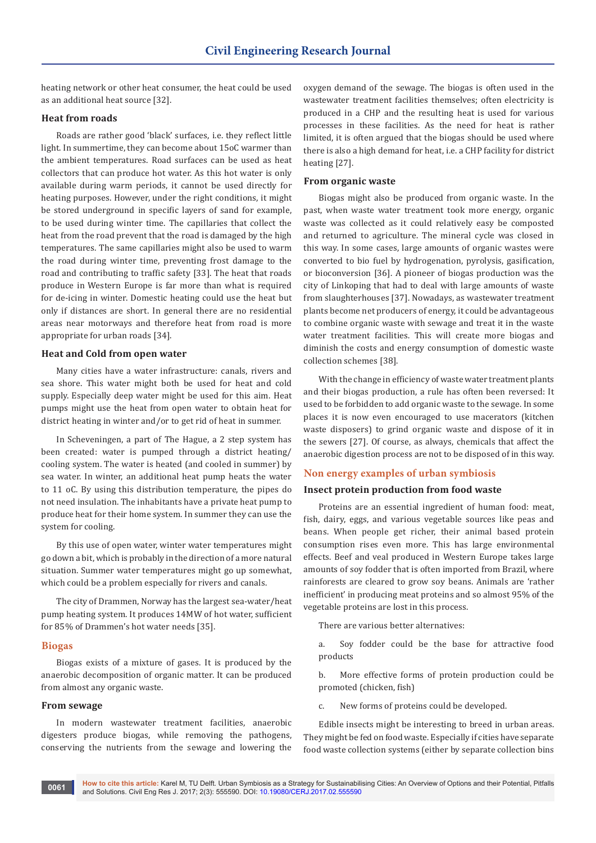heating network or other heat consumer, the heat could be used as an additional heat source [32].

## **Heat from roads**

Roads are rather good 'black' surfaces, i.e. they reflect little light. In summertime, they can become about 15oC warmer than the ambient temperatures. Road surfaces can be used as heat collectors that can produce hot water. As this hot water is only available during warm periods, it cannot be used directly for heating purposes. However, under the right conditions, it might be stored underground in specific layers of sand for example, to be used during winter time. The capillaries that collect the heat from the road prevent that the road is damaged by the high temperatures. The same capillaries might also be used to warm the road during winter time, preventing frost damage to the road and contributing to traffic safety [33]. The heat that roads produce in Western Europe is far more than what is required for de-icing in winter. Domestic heating could use the heat but only if distances are short. In general there are no residential areas near motorways and therefore heat from road is more appropriate for urban roads [34].

#### **Heat and Cold from open water**

Many cities have a water infrastructure: canals, rivers and sea shore. This water might both be used for heat and cold supply. Especially deep water might be used for this aim. Heat pumps might use the heat from open water to obtain heat for district heating in winter and/or to get rid of heat in summer.

In Scheveningen, a part of The Hague, a 2 step system has been created: water is pumped through a district heating/ cooling system. The water is heated (and cooled in summer) by sea water. In winter, an additional heat pump heats the water to 11 oC. By using this distribution temperature, the pipes do not need insulation. The inhabitants have a private heat pump to produce heat for their home system. In summer they can use the system for cooling.

By this use of open water, winter water temperatures might go down a bit, which is probably in the direction of a more natural situation. Summer water temperatures might go up somewhat, which could be a problem especially for rivers and canals.

The city of Drammen, Norway has the largest sea-water/heat pump heating system. It produces 14MW of hot water, sufficient for 85% of Drammen's hot water needs [35].

#### **Biogas**

Biogas exists of a mixture of gases. It is produced by the anaerobic decomposition of organic matter. It can be produced from almost any organic waste.

## **From sewage**

In modern wastewater treatment facilities, anaerobic digesters produce biogas, while removing the pathogens, conserving the nutrients from the sewage and lowering the oxygen demand of the sewage. The biogas is often used in the wastewater treatment facilities themselves; often electricity is produced in a CHP and the resulting heat is used for various processes in these facilities. As the need for heat is rather limited, it is often argued that the biogas should be used where there is also a high demand for heat, i.e. a CHP facility for district heating [27].

#### **From organic waste**

Biogas might also be produced from organic waste. In the past, when waste water treatment took more energy, organic waste was collected as it could relatively easy be composted and returned to agriculture. The mineral cycle was closed in this way. In some cases, large amounts of organic wastes were converted to bio fuel by hydrogenation, pyrolysis, gasification, or bioconversion [36]. A pioneer of biogas production was the city of Linkoping that had to deal with large amounts of waste from slaughterhouses [37]. Nowadays, as wastewater treatment plants become net producers of energy, it could be advantageous to combine organic waste with sewage and treat it in the waste water treatment facilities. This will create more biogas and diminish the costs and energy consumption of domestic waste collection schemes [38].

With the change in efficiency of waste water treatment plants and their biogas production, a rule has often been reversed: It used to be forbidden to add organic waste to the sewage. In some places it is now even encouraged to use macerators (kitchen waste disposers) to grind organic waste and dispose of it in the sewers [27]. Of course, as always, chemicals that affect the anaerobic digestion process are not to be disposed of in this way.

## **Non energy examples of urban symbiosis**

#### **Insect protein production from food waste**

Proteins are an essential ingredient of human food: meat, fish, dairy, eggs, and various vegetable sources like peas and beans. When people get richer, their animal based protein consumption rises even more. This has large environmental effects. Beef and veal produced in Western Europe takes large amounts of soy fodder that is often imported from Brazil, where rainforests are cleared to grow soy beans. Animals are 'rather inefficient' in producing meat proteins and so almost 95% of the vegetable proteins are lost in this process.

There are various better alternatives:

a. Soy fodder could be the base for attractive food products

b. More effective forms of protein production could be promoted (chicken, fish)

c. New forms of proteins could be developed.

Edible insects might be interesting to breed in urban areas. They might be fed on food waste. Especially if cities have separate food waste collection systems (either by separate collection bins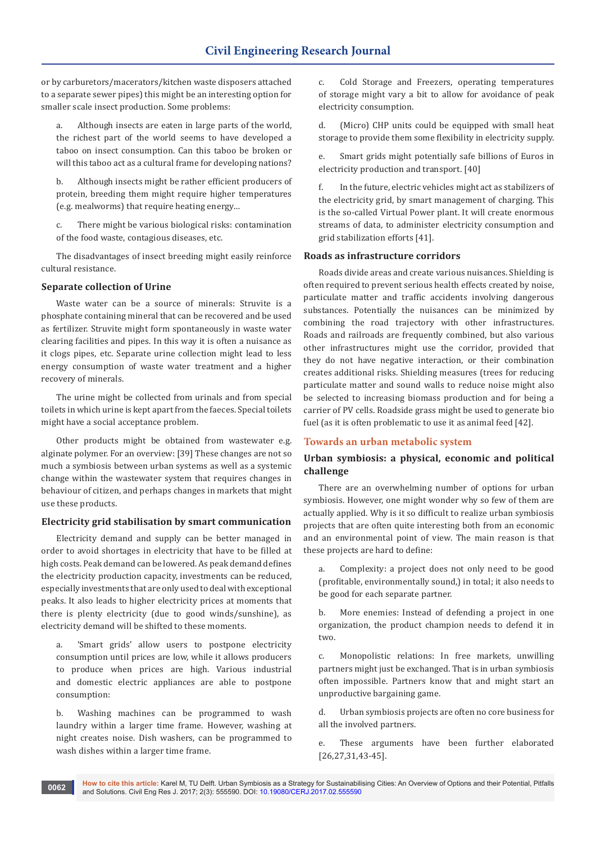or by carburetors/macerators/kitchen waste disposers attached to a separate sewer pipes) this might be an interesting option for smaller scale insect production. Some problems:

a. Although insects are eaten in large parts of the world, the richest part of the world seems to have developed a taboo on insect consumption. Can this taboo be broken or will this taboo act as a cultural frame for developing nations?

b. Although insects might be rather efficient producers of protein, breeding them might require higher temperatures (e.g. mealworms) that require heating energy…

c. There might be various biological risks: contamination of the food waste, contagious diseases, etc.

The disadvantages of insect breeding might easily reinforce cultural resistance.

# **Separate collection of Urine**

Waste water can be a source of minerals: Struvite is a phosphate containing mineral that can be recovered and be used as fertilizer. Struvite might form spontaneously in waste water clearing facilities and pipes. In this way it is often a nuisance as it clogs pipes, etc. Separate urine collection might lead to less energy consumption of waste water treatment and a higher recovery of minerals.

The urine might be collected from urinals and from special toilets in which urine is kept apart from the faeces. Special toilets might have a social acceptance problem.

Other products might be obtained from wastewater e.g. alginate polymer. For an overview: [39] These changes are not so much a symbiosis between urban systems as well as a systemic change within the wastewater system that requires changes in behaviour of citizen, and perhaps changes in markets that might use these products.

# **Electricity grid stabilisation by smart communication**

Electricity demand and supply can be better managed in order to avoid shortages in electricity that have to be filled at high costs. Peak demand can be lowered. As peak demand defines the electricity production capacity, investments can be reduced, especially investments that are only used to deal with exceptional peaks. It also leads to higher electricity prices at moments that there is plenty electricity (due to good winds/sunshine), as electricity demand will be shifted to these moments.

a. 'Smart grids' allow users to postpone electricity consumption until prices are low, while it allows producers to produce when prices are high. Various industrial and domestic electric appliances are able to postpone consumption:

b. Washing machines can be programmed to wash laundry within a larger time frame. However, washing at night creates noise. Dish washers, can be programmed to wash dishes within a larger time frame.

c. Cold Storage and Freezers, operating temperatures of storage might vary a bit to allow for avoidance of peak electricity consumption.

d. (Micro) CHP units could be equipped with small heat storage to provide them some flexibility in electricity supply.

e. Smart grids might potentially safe billions of Euros in electricity production and transport. [40]

f. In the future, electric vehicles might act as stabilizers of the electricity grid, by smart management of charging. This is the so-called Virtual Power plant. It will create enormous streams of data, to administer electricity consumption and grid stabilization efforts [41].

# **Roads as infrastructure corridors**

Roads divide areas and create various nuisances. Shielding is often required to prevent serious health effects created by noise, particulate matter and traffic accidents involving dangerous substances. Potentially the nuisances can be minimized by combining the road trajectory with other infrastructures. Roads and railroads are frequently combined, but also various other infrastructures might use the corridor, provided that they do not have negative interaction, or their combination creates additional risks. Shielding measures (trees for reducing particulate matter and sound walls to reduce noise might also be selected to increasing biomass production and for being a carrier of PV cells. Roadside grass might be used to generate bio fuel (as it is often problematic to use it as animal feed [42].

# **Towards an urban metabolic system**

# **Urban symbiosis: a physical, economic and political challenge**

There are an overwhelming number of options for urban symbiosis. However, one might wonder why so few of them are actually applied. Why is it so difficult to realize urban symbiosis projects that are often quite interesting both from an economic and an environmental point of view. The main reason is that these projects are hard to define:

a. Complexity: a project does not only need to be good (profitable, environmentally sound,) in total; it also needs to be good for each separate partner.

b. More enemies: Instead of defending a project in one organization, the product champion needs to defend it in two.

c. Monopolistic relations: In free markets, unwilling partners might just be exchanged. That is in urban symbiosis often impossible. Partners know that and might start an unproductive bargaining game.

d. Urban symbiosis projects are often no core business for all the involved partners.

e. These arguments have been further elaborated [26,27,31,43-45].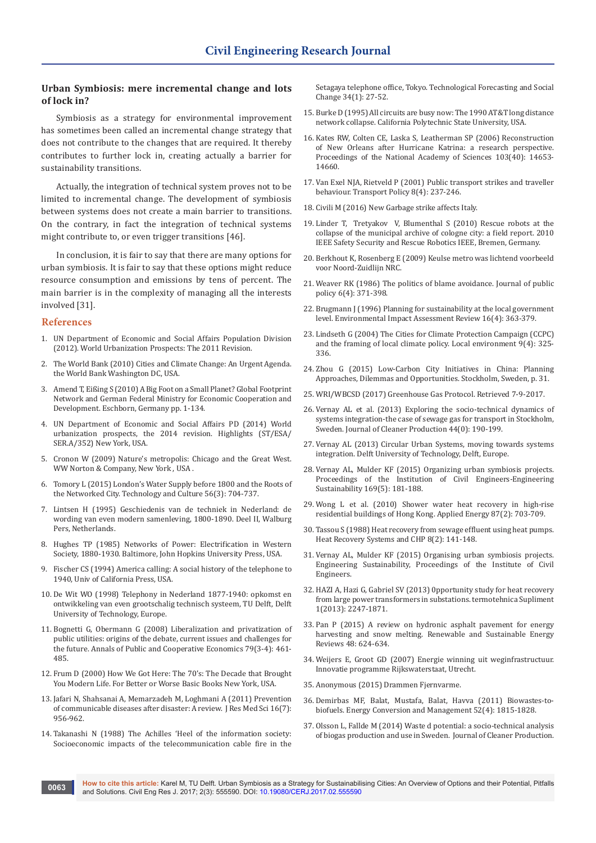## **Urban Symbiosis: mere incremental change and lots of lock in?**

Symbiosis as a strategy for environmental improvement has sometimes been called an incremental change strategy that does not contribute to the changes that are required. It thereby contributes to further lock in, creating actually a barrier for sustainability transitions.

Actually, the integration of technical system proves not to be limited to incremental change. The development of symbiosis between systems does not create a main barrier to transitions. On the contrary, in fact the integration of technical systems might contribute to, or even trigger transitions [46].

In conclusion, it is fair to say that there are many options for urban symbiosis. It is fair to say that these options might reduce resource consumption and emissions by tens of percent. The main barrier is in the complexity of managing all the interests involved [31].

#### **References**

- 1. UN Department of Economic and Social Affairs Population Division (2012). World Urbanization Prospects: The 2011 Revision.
- 2. [The World Bank \(2010\) Cities and Climate Change: An Urgent Agenda.](http://siteresources.worldbank.org/INTUWM/Resources/340232-1205330656272/CitiesandClimateChange.pdf)  [the World Bank Washington DC, USA.](http://siteresources.worldbank.org/INTUWM/Resources/340232-1205330656272/CitiesandClimateChange.pdf)
- 3. Amend T, Eißing S (2010) A Big Foot on a Small Planet? Global Footprint Network and German Federal Ministry for Economic Cooperation and Development. Eschborn, Germany pp. 1-134.
- 4. UN Department of Economic and Social Affairs PD (2014) World urbanization prospects, the 2014 revision. Highlights (ST/ESA/ SER.A/352) New York, USA.
- 5. [Cronon W \(2009\) Nature's metropolis: Chicago and the Great West.](http://books.wwnorton.com/books/Natures-Metropolis/)  [WW Norton & Company, New York , USA .](http://books.wwnorton.com/books/Natures-Metropolis/)
- 6. [Tomory L \(2015\) London's Water Supply before 1800 and the Roots of](https://muse.jhu.edu/article/593069)  [the Networked City. Technology and Culture 56\(3\): 704-737.](https://muse.jhu.edu/article/593069)
- 7. [Lintsen H \(1995\) Geschiedenis van de techniek in Nederland: de](http://www.dbnl.org/tekst/lint011gesc06_01/lint011gesc06_01.pdf)  [wording van even modern samenleving, 1800-1890. Deel II, Walburg](http://www.dbnl.org/tekst/lint011gesc06_01/lint011gesc06_01.pdf)  [Pers, Netherlands.](http://www.dbnl.org/tekst/lint011gesc06_01/lint011gesc06_01.pdf)
- 8. Hughes TP (1985) Networks of Power: Electrification in Western Society, 1880-1930. Baltimore, John Hopkins University Press, USA.
- 9. Fischer CS (1994) America calling: A social history of the telephone to 1940, Univ of California Press, USA.
- 10. De Wit WO (1998) Telephony in Nederland 1877-1940: opkomst en ontwikkeling van even grootschalig technisch systeem, TU Delft, Delft University of Technology, Europe.
- 11. [Bognetti G, Obermann G \(2008\) Liberalization and privatization of](http://onlinelibrary.wiley.com/doi/10.1111/j.1467-8292.2008.00367.x/abstract)  [public utilities: origins of the debate, current issues and challenges for](http://onlinelibrary.wiley.com/doi/10.1111/j.1467-8292.2008.00367.x/abstract)  [the future. Annals of Public and Cooperative Economics 79\(3-4\): 461-](http://onlinelibrary.wiley.com/doi/10.1111/j.1467-8292.2008.00367.x/abstract) [485.](http://onlinelibrary.wiley.com/doi/10.1111/j.1467-8292.2008.00367.x/abstract)
- 12. Frum D (2000) How We Got Here: The 70's: The Decade that Brought You Modern Life. For Better or Worse Basic Books New York, USA.
- 13. [Jafari N, Shahsanai A, Memarzadeh M, Loghmani A \(2011\) Prevention](https://www.ncbi.nlm.nih.gov/pubmed/22279466/)  [of communicable diseases after disaster: A review. J Res Med Sci 16\(7\):](https://www.ncbi.nlm.nih.gov/pubmed/22279466/)  [956-962.](https://www.ncbi.nlm.nih.gov/pubmed/22279466/)
- 14. Takanashi N (1988) The Achilles 'Heel of the information society: Socioeconomic impacts of the telecommunication cable fire in the

Setagaya telephone office, Tokyo. Technological Forecasting and Social Change 34(1): 27-52.

- 15. Burke D (1995) All circuits are busy now: The 1990 AT&T long distance network collapse. California Polytechnic State University, USA.
- 16. [Kates RW, Colten CE, Laska S, Leatherman SP \(2006\) Reconstruction](http://www.pnas.org/content/103/40/14653.abstract)  [of New Orleans after Hurricane Katrina: a research perspective.](http://www.pnas.org/content/103/40/14653.abstract)  [Proceedings of the National Academy of Sciences 103\(40\): 14653-](http://www.pnas.org/content/103/40/14653.abstract) [14660.](http://www.pnas.org/content/103/40/14653.abstract)
- 17. [Van Exel NJA, Rietveld P \(2001\) Public transport strikes and traveller](http://www.worldtransitresearch.info/research/3362/)  [behaviour. Transport Policy 8\(4\): 237-246.](http://www.worldtransitresearch.info/research/3362/)
- 18. [Civili M \(2016\) New Garbage strike affects Italy.](http://www.presstv.ir/DetailFr/2016/06/17/470804/Garbage-ItalyCivili%20M%20(2016)%20%22New%20Garbage%20strike%20affects%20Italy.%22%20Retrieved%20June%2017th,%202016,%20from%20http:/www.presstv.ir/DetailFr/2016/06/17/470804/Garbage-Italy.)
- 19. Linder T, [Tretyakov](http://ieeexplore.ieee.org/search/searchresult.jsp?searchWithin=%22Authors%22:.QT.Viatcheslav%20Tretyakov.QT.&newsearch=true) V, [Blumenthal S \(2010\) Rescue robots at the](http://ieeexplore.ieee.org/search/searchresult.jsp?searchWithin=%22Authors%22:.QT.Sebastian%20Blumenthal.QT.&newsearch=true)  [collapse of the municipal archive of cologne city: a field report. 2010](http://ieeexplore.ieee.org/search/searchresult.jsp?searchWithin=%22Authors%22:.QT.Sebastian%20Blumenthal.QT.&newsearch=true)  [IEEE Safety Security and Rescue Robotics IEEE, Bremen, Germany.](http://ieeexplore.ieee.org/search/searchresult.jsp?searchWithin=%22Authors%22:.QT.Sebastian%20Blumenthal.QT.&newsearch=true)
- 20. Berkhout K, Rosenberg E (2009) Keulse metro was lichtend voorbeeld voor Noord-Zuidlijn NRC.
- 21. Weaver RK (1986) The politics of blame avoidance. Journal of public policy 6(4): 371-398.
- 22. Brugmann J (1996) Planning for sustainability at the local government level. Environmental Impact Assessment Review 16(4): 363-379.
- 23. [Lindseth G \(2004\) The Cities for Climate Protection Campaign \(CCPC\)](http://www.tandfonline.com/doi/abs/10.1080/1354983042000246252)  [and the framing of local climate policy. Local environment 9\(4\): 325-](http://www.tandfonline.com/doi/abs/10.1080/1354983042000246252) [336.](http://www.tandfonline.com/doi/abs/10.1080/1354983042000246252)
- 24. Zhou G (2015) Low-Carbon City Initiatives in China: Planning Approaches, Dilemmas and Opportunities. Stockholm, Sweden, p. 31.
- 25. [WRI/WBCSD \(2017\) Greenhouse Gas Protocol. Retrieved 7-9-2017.](http://www.ghgprotocol.org/about-us)
- 26. Vernay AL et al. (2013) Exploring the socio-technical dynamics of systems integration-the case of sewage gas for transport in Stockholm, Sweden. Journal of Cleaner Production 44(0): 190-199.
- 27. [Vernay AL \(2013\) Circular Urban Systems, moving towards systems](https://repository.tudelft.nl/islandora/object/uuid%3Ac7e37777-eb7a-4e5f-b0e3-ec93f68a655d)  [integration. Delft University of Technology, Delft, Europe.](https://repository.tudelft.nl/islandora/object/uuid%3Ac7e37777-eb7a-4e5f-b0e3-ec93f68a655d)
- 28. [Vernay AL, Mulder KF \(2015\) Organizing urban symbiosis projects.](http://www.icevirtuallibrary.com/doi/abs/10.1680/jensu.15.00010)  [Proceedings of the Institution of Civil Engineers-Engineering](http://www.icevirtuallibrary.com/doi/abs/10.1680/jensu.15.00010)  [Sustainability 169\(5\): 181-188.](http://www.icevirtuallibrary.com/doi/abs/10.1680/jensu.15.00010)
- 29. Wong L et al. (2010) Shower water heat recovery in high-rise residential buildings of Hong Kong. Applied Energy 87(2): 703-709.
- 30. Tassou S (1988) Heat recovery from sewage effluent using heat pumps. Heat Recovery Systems and CHP 8(2): 141-148.
- 31. Vernay AL, Mulder KF (2015) Organising urban symbiosis projects. Engineering Sustainability, Proceedings of the Institute of Civil Engineers.
- 32. [HAZI A, Hazi G, Gabriel SV \(2013\) 0pportunity study for heat recovery](http://www.agir.ro/buletine/1891.pdf)  [from large power transformers in substations. termotehnica Supliment](http://www.agir.ro/buletine/1891.pdf)  [1\(2013\): 2247-1871.](http://www.agir.ro/buletine/1891.pdf)
- 33. Pan P (2015) A review on hydronic asphalt pavement for energy harvesting and snow melting. Renewable and Sustainable Energy Reviews 48: 624-634.
- 34. Weijers E, Groot GD (2007) Energie winning uit weginfrastructuur. Innovatie programme Rijkswaterstaat, Utrecht.
- 35. [Anonymous \(2015\) Drammen Fjernvarme.](http://df.no/)
- 36. [Demirbas MF, Balat, Mustafa, Balat, Havva \(2011\) Biowastes-to](https://www.sciencebase.gov/catalog/item/5140be2ce4b06685e5db9750)[biofuels. Energy Conversion and Management 52\(4\): 1815-1828.](https://www.sciencebase.gov/catalog/item/5140be2ce4b06685e5db9750)
- 37. Olsson L, Fallde M (2014) Waste d potential: a socio-technical analysis of biogas production and use in Sweden. Journal of Cleaner Production.